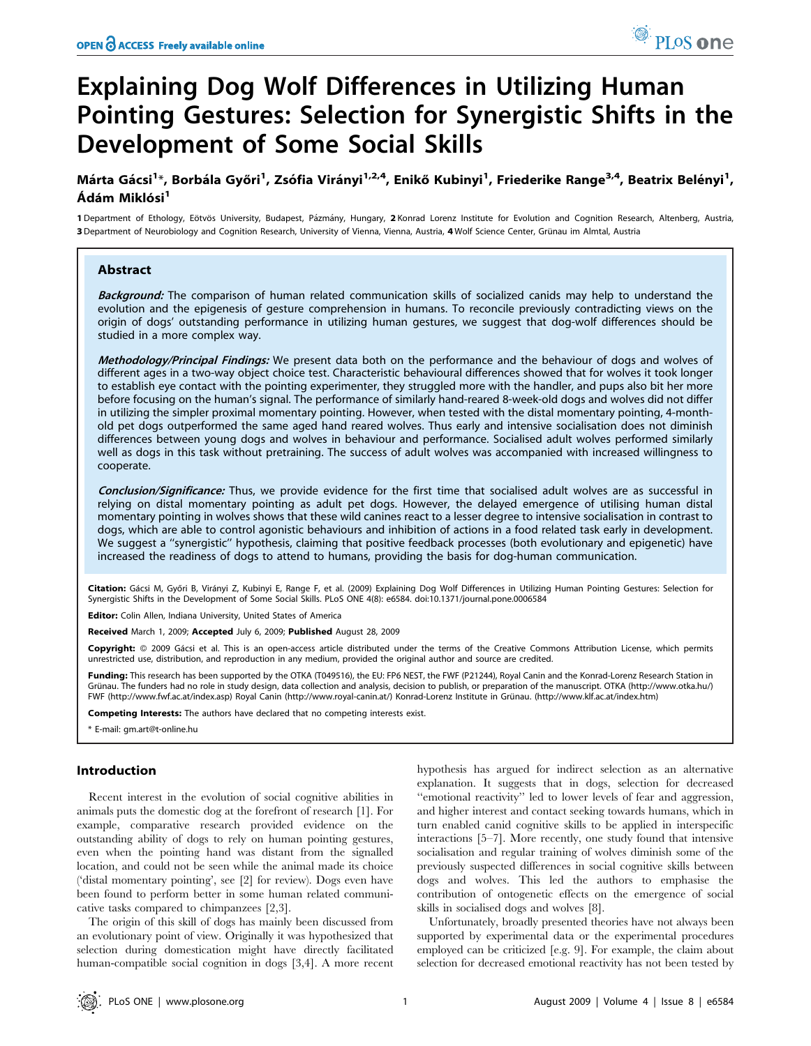# **Explaining Dog Wolf Differences in Utilizing Human** Pointing Gestures: Selection for Synergistic Shifts in the **Development of Some Social Skills**

## Márta Gácsi<sup>1\*</sup>, Borbála Győri<sup>1</sup>, Zsófia Virányi<sup>1,2,4</sup>, Enikő Kubinyi<sup>1</sup>, Friederike Range<sup>3,4</sup>, Beatrix Belényi<sup>1</sup>, Ádám Miklósi<sup>1</sup>

1 Department of Ethology, Eötvös University, Budapest, Pázmány, Hungary, 2 Konrad Lorenz Institute for Evolution and Cognition Research, Altenberg, Austria, 3 Department of Neurobiology and Cognition Research, University of Vienna, Vienna, Austria, 4 Wolf Science Center, Grünau im Almtal, Austria

## **Abstract**

Background: The comparison of human related communication skills of socialized canids may help to understand the evolution and the epigenesis of gesture comprehension in humans. To reconcile previously contradicting views on the origin of dogs' outstanding performance in utilizing human gestures, we suggest that dog-wolf differences should be studied in a more complex way.

Methodology/Principal Findings: We present data both on the performance and the behaviour of dogs and wolves of different ages in a two-way object choice test. Characteristic behavioural differences showed that for wolves it took longer to establish eye contact with the pointing experimenter, they struggled more with the handler, and pups also bit her more before focusing on the human's signal. The performance of similarly hand-reared 8-week-old dogs and wolves did not differ in utilizing the simpler proximal momentary pointing. However, when tested with the distal momentary pointing, 4-monthold pet dogs outperformed the same aged hand reared wolves. Thus early and intensive socialisation does not diminish differences between young dogs and wolves in behaviour and performance. Socialised adult wolves performed similarly well as dogs in this task without pretraining. The success of adult wolves was accompanied with increased willingness to cooperate.

Conclusion/Significance: Thus, we provide evidence for the first time that socialised adult wolves are as successful in relying on distal momentary pointing as adult pet dogs. However, the delayed emergence of utilising human distal momentary pointing in wolves shows that these wild canines react to a lesser degree to intensive socialisation in contrast to dogs, which are able to control agonistic behaviours and inhibition of actions in a food related task early in development. We suggest a "synergistic" hypothesis, claiming that positive feedback processes (both evolutionary and epigenetic) have increased the readiness of dogs to attend to humans, providing the basis for dog-human communication.

Citation: Gácsi M, Győri B, Virányi Z, Kubinyi E, Range F, et al. (2009) Explaining Dog Wolf Differences in Utilizing Human Pointing Gestures: Selection for Synergistic Shifts in the Development of Some Social Skills. PLoS ONE 4(8): e6584. doi:10.1371/journal.pone.0006584

Editor: Colin Allen, Indiana University, United States of America

Received March 1, 2009; Accepted July 6, 2009; Published August 28, 2009

Copyright: @ 2009 Gácsi et al. This is an open-access article distributed under the terms of the Creative Commons Attribution License, which permits unrestricted use, distribution, and reproduction in any medium, provided the original author and source are credited.

Funding: This research has been supported by the OTKA (T049516), the EU: FP6 NEST, the FWF (P21244), Royal Canin and the Konrad-Lorenz Research Station in Grünau. The funders had no role in study design, data collection and analysis, decision to publish, or preparation of the manuscript. OTKA (http://www.otka.hu/) FWF (http://www.fwf.ac.at/index.asp) Royal Canin (http://www.royal-canin.at/) Konrad-Lorenz Institute in Grünau. (http://www.klf.ac.at/index.htm)

Competing Interests: The authors have declared that no competing interests exist.

\* E-mail: gm.art@t-online.hu

## Introduction

Recent interest in the evolution of social cognitive abilities in animals puts the domestic dog at the forefront of research [1]. For example, comparative research provided evidence on the outstanding ability of dogs to rely on human pointing gestures, even when the pointing hand was distant from the signalled location, and could not be seen while the animal made its choice ('distal momentary pointing', see [2] for review). Dogs even have been found to perform better in some human related communicative tasks compared to chimpanzees [2,3].

The origin of this skill of dogs has mainly been discussed from an evolutionary point of view. Originally it was hypothesized that selection during domestication might have directly facilitated human-compatible social cognition in dogs [3,4]. A more recent

hypothesis has argued for indirect selection as an alternative explanation. It suggests that in dogs, selection for decreased "emotional reactivity" led to lower levels of fear and aggression, and higher interest and contact seeking towards humans, which in turn enabled canid cognitive skills to be applied in interspecific interactions  $[5-7]$ . More recently, one study found that intensive socialisation and regular training of wolves diminish some of the previously suspected differences in social cognitive skills between dogs and wolves. This led the authors to emphasise the contribution of ontogenetic effects on the emergence of social skills in socialised dogs and wolves [8].

Unfortunately, broadly presented theories have not always been supported by experimental data or the experimental procedures employed can be criticized [e.g. 9]. For example, the claim about selection for decreased emotional reactivity has not been tested by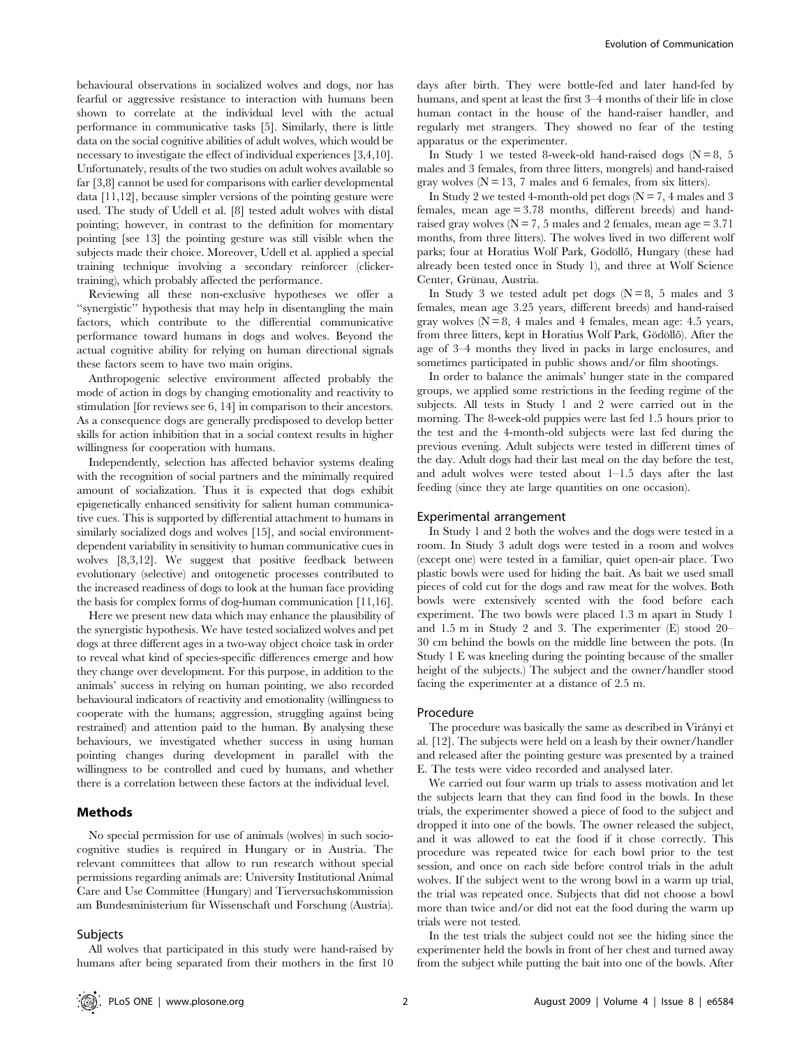behavioural observations in socialized wolves and dogs, nor has fearful or aggressive resistance to interaction with humans been shown to correlate at the individual level with the actual performance in communicative tasks [5]. Similarly, there is little data on the social cognitive abilities of adult wolves, which would be necessary to investigate the effect of individual experiences [3,4,10]. Unfortunately, results of the two studies on adult wolves available so far [3,8] cannot be used for comparisons with earlier developmental data [11,12], because simpler versions of the pointing gesture were used. The study of Udell et al. [8] tested adult wolves with distal pointing; however, in contrast to the definition for momentary pointing [see 13] the pointing gesture was still visible when the subjects made their choice. Moreover, Udell et al. applied a special training technique involving a secondary reinforcer (clickertraining), which probably affected the performance.

Reviewing all these non-exclusive hypotheses we offer a ''synergistic'' hypothesis that may help in disentangling the main factors, which contribute to the differential communicative performance toward humans in dogs and wolves. Beyond the actual cognitive ability for relying on human directional signals these factors seem to have two main origins.

Anthropogenic selective environment affected probably the mode of action in dogs by changing emotionality and reactivity to stimulation [for reviews see 6, 14] in comparison to their ancestors. As a consequence dogs are generally predisposed to develop better skills for action inhibition that in a social context results in higher willingness for cooperation with humans.

Independently, selection has affected behavior systems dealing with the recognition of social partners and the minimally required amount of socialization. Thus it is expected that dogs exhibit epigenetically enhanced sensitivity for salient human communicative cues. This is supported by differential attachment to humans in similarly socialized dogs and wolves [15], and social environmentdependent variability in sensitivity to human communicative cues in wolves [8,3,12]. We suggest that positive feedback between evolutionary (selective) and ontogenetic processes contributed to the increased readiness of dogs to look at the human face providing the basis for complex forms of dog-human communication [11,16].

Here we present new data which may enhance the plausibility of the synergistic hypothesis. We have tested socialized wolves and pet dogs at three different ages in a two-way object choice task in order to reveal what kind of species-specific differences emerge and how they change over development. For this purpose, in addition to the animals' success in relying on human pointing, we also recorded behavioural indicators of reactivity and emotionality (willingness to cooperate with the humans; aggression, struggling against being restrained) and attention paid to the human. By analysing these behaviours, we investigated whether success in using human pointing changes during development in parallel with the willingness to be controlled and cued by humans, and whether there is a correlation between these factors at the individual level.

## Methods

No special permission for use of animals (wolves) in such sociocognitive studies is required in Hungary or in Austria. The relevant committees that allow to run research without special permissions regarding animals are: University Institutional Animal Care and Use Committee (Hungary) and Tierversuchskommission am Bundesministerium für Wissenschaft und Forschung (Austria).

#### **Subjects**

All wolves that participated in this study were hand-raised by humans after being separated from their mothers in the first 10 days after birth. They were bottle-fed and later hand-fed by humans, and spent at least the first 3–4 months of their life in close human contact in the house of the hand-raiser handler, and regularly met strangers. They showed no fear of the testing apparatus or the experimenter.

In Study 1 we tested 8-week-old hand-raised dogs  $(N = 8, 5)$ males and 3 females, from three litters, mongrels) and hand-raised gray wolves  $(N = 13, 7$  males and 6 females, from six litters).

In Study 2 we tested 4-month-old pet dogs ( $N = 7$ , 4 males and 3 females, mean age = 3.78 months, different breeds) and handraised gray wolves ( $N = 7$ , 5 males and 2 females, mean age = 3.71 months, from three litters). The wolves lived in two different wolf parks; four at Horatius Wolf Park, Gödöllő, Hungary (these had already been tested once in Study 1), and three at Wolf Science Center, Grünau, Austria.

In Study 3 we tested adult pet dogs ( $N = 8$ , 5 males and 3 females, mean age 3.25 years, different breeds) and hand-raised gray wolves  $(N = 8, 4$  males and 4 females, mean age: 4.5 years, from three litters, kept in Horatius Wolf Park, Gödöllő). After the age of 3–4 months they lived in packs in large enclosures, and sometimes participated in public shows and/or film shootings.

In order to balance the animals' hunger state in the compared groups, we applied some restrictions in the feeding regime of the subjects. All tests in Study 1 and 2 were carried out in the morning. The 8-week-old puppies were last fed 1.5 hours prior to the test and the 4-month-old subjects were last fed during the previous evening. Adult subjects were tested in different times of the day. Adult dogs had their last meal on the day before the test, and adult wolves were tested about 1–1.5 days after the last feeding (since they ate large quantities on one occasion).

## Experimental arrangement

In Study 1 and 2 both the wolves and the dogs were tested in a room. In Study 3 adult dogs were tested in a room and wolves (except one) were tested in a familiar, quiet open-air place. Two plastic bowls were used for hiding the bait. As bait we used small pieces of cold cut for the dogs and raw meat for the wolves. Both bowls were extensively scented with the food before each experiment. The two bowls were placed 1.3 m apart in Study 1 and 1.5 m in Study 2 and 3. The experimenter (E) stood 20– 30 cm behind the bowls on the middle line between the pots. (In Study 1 E was kneeling during the pointing because of the smaller height of the subjects.) The subject and the owner/handler stood facing the experimenter at a distance of 2.5 m.

#### Procedure

The procedure was basically the same as described in Virányi et al. [12]. The subjects were held on a leash by their owner/handler and released after the pointing gesture was presented by a trained E. The tests were video recorded and analysed later.

We carried out four warm up trials to assess motivation and let the subjects learn that they can find food in the bowls. In these trials, the experimenter showed a piece of food to the subject and dropped it into one of the bowls. The owner released the subject, and it was allowed to eat the food if it chose correctly. This procedure was repeated twice for each bowl prior to the test session, and once on each side before control trials in the adult wolves. If the subject went to the wrong bowl in a warm up trial, the trial was repeated once. Subjects that did not choose a bowl more than twice and/or did not eat the food during the warm up trials were not tested.

In the test trials the subject could not see the hiding since the experimenter held the bowls in front of her chest and turned away from the subject while putting the bait into one of the bowls. After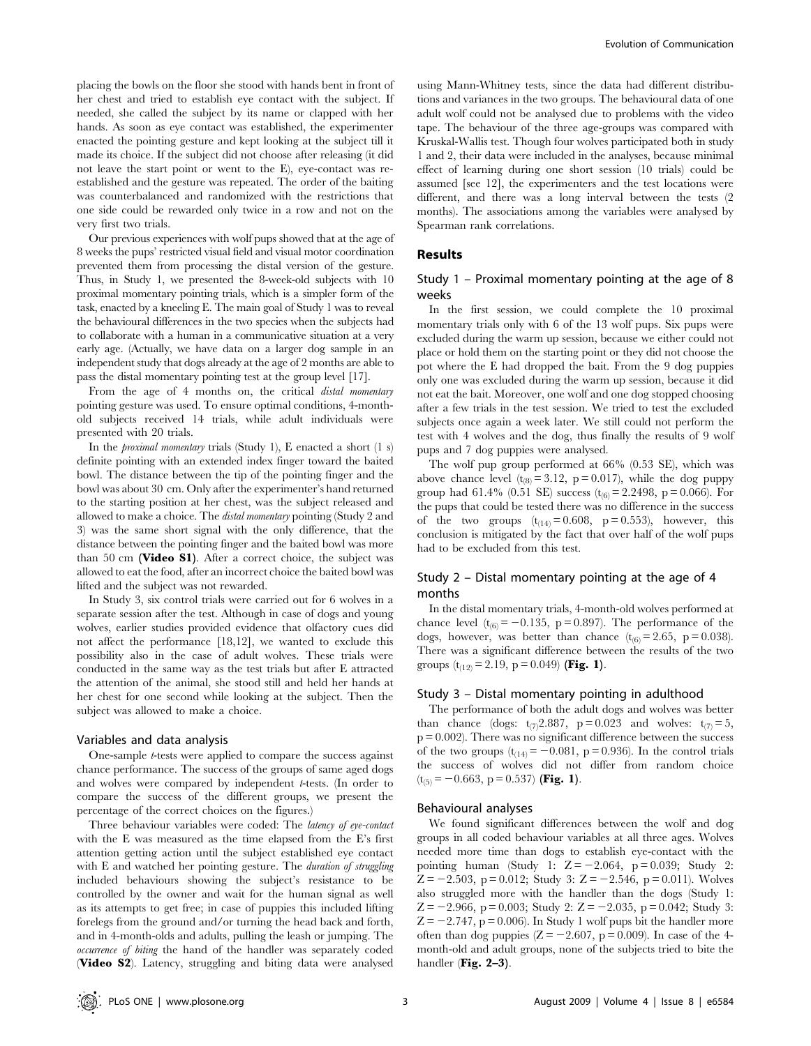placing the bowls on the floor she stood with hands bent in front of her chest and tried to establish eye contact with the subject. If needed, she called the subject by its name or clapped with her hands. As soon as eye contact was established, the experimenter enacted the pointing gesture and kept looking at the subject till it made its choice. If the subject did not choose after releasing (it did not leave the start point or went to the E), eye-contact was reestablished and the gesture was repeated. The order of the baiting was counterbalanced and randomized with the restrictions that one side could be rewarded only twice in a row and not on the very first two trials.

Our previous experiences with wolf pups showed that at the age of 8 weeks the pups' restricted visual field and visual motor coordination prevented them from processing the distal version of the gesture. Thus, in Study 1, we presented the 8-week-old subjects with 10 proximal momentary pointing trials, which is a simpler form of the task, enacted by a kneeling E. The main goal of Study 1 was to reveal the behavioural differences in the two species when the subjects had to collaborate with a human in a communicative situation at a very early age. (Actually, we have data on a larger dog sample in an independent study that dogs already at the age of 2 months are able to pass the distal momentary pointing test at the group level [17].

From the age of 4 months on, the critical distal momentary pointing gesture was used. To ensure optimal conditions, 4-monthold subjects received 14 trials, while adult individuals were presented with 20 trials.

In the *proximal momentary* trials (Study 1), E enacted a short  $(1 \text{ s})$ definite pointing with an extended index finger toward the baited bowl. The distance between the tip of the pointing finger and the bowl was about 30 cm. Only after the experimenter's hand returned to the starting position at her chest, was the subject released and allowed to make a choice. The distal momentary pointing (Study 2 and 3) was the same short signal with the only difference, that the distance between the pointing finger and the baited bowl was more than 50 cm (Video S1). After a correct choice, the subject was allowed to eat the food, after an incorrect choice the baited bowl was lifted and the subject was not rewarded.

In Study 3, six control trials were carried out for 6 wolves in a separate session after the test. Although in case of dogs and young wolves, earlier studies provided evidence that olfactory cues did not affect the performance [18,12], we wanted to exclude this possibility also in the case of adult wolves. These trials were conducted in the same way as the test trials but after E attracted the attention of the animal, she stood still and held her hands at her chest for one second while looking at the subject. Then the subject was allowed to make a choice.

#### Variables and data analysis

One-sample t-tests were applied to compare the success against chance performance. The success of the groups of same aged dogs and wolves were compared by independent t-tests. (In order to compare the success of the different groups, we present the percentage of the correct choices on the figures.)

Three behaviour variables were coded: The latency of eye-contact with the E was measured as the time elapsed from the E's first attention getting action until the subject established eye contact with E and watched her pointing gesture. The *duration of struggling* included behaviours showing the subject's resistance to be controlled by the owner and wait for the human signal as well as its attempts to get free; in case of puppies this included lifting forelegs from the ground and/or turning the head back and forth, and in 4-month-olds and adults, pulling the leash or jumping. The occurrence of biting the hand of the handler was separately coded (Video S2). Latency, struggling and biting data were analysed

using Mann-Whitney tests, since the data had different distributions and variances in the two groups. The behavioural data of one adult wolf could not be analysed due to problems with the video tape. The behaviour of the three age-groups was compared with Kruskal-Wallis test. Though four wolves participated both in study 1 and 2, their data were included in the analyses, because minimal effect of learning during one short session (10 trials) could be assumed [see 12], the experimenters and the test locations were different, and there was a long interval between the tests (2 months). The associations among the variables were analysed by Spearman rank correlations.

## Results

## Study 1 – Proximal momentary pointing at the age of 8 weeks

In the first session, we could complete the 10 proximal momentary trials only with 6 of the 13 wolf pups. Six pups were excluded during the warm up session, because we either could not place or hold them on the starting point or they did not choose the pot where the E had dropped the bait. From the 9 dog puppies only one was excluded during the warm up session, because it did not eat the bait. Moreover, one wolf and one dog stopped choosing after a few trials in the test session. We tried to test the excluded subjects once again a week later. We still could not perform the test with 4 wolves and the dog, thus finally the results of 9 wolf pups and 7 dog puppies were analysed.

The wolf pup group performed at 66% (0.53 SE), which was above chance level  $(t_{(8)} = 3.12, p = 0.017)$ , while the dog puppy group had 61.4% (0.51 SE) success  $(t_{(6)} = 2.2498, p = 0.066)$ . For the pups that could be tested there was no difference in the success of the two groups  $(t_{(14)} = 0.608, p = 0.553)$ , however, this conclusion is mitigated by the fact that over half of the wolf pups had to be excluded from this test.

## Study 2 – Distal momentary pointing at the age of 4 months

In the distal momentary trials, 4-month-old wolves performed at chance level  $(t_{(6)} = -0.135, p = 0.897)$ . The performance of the dogs, however, was better than chance  $(t_{(6)} = 2.65, p = 0.038)$ . There was a significant difference between the results of the two groups  $(t_{(12)} = 2.19, p = 0.049)$  (Fig. 1).

#### Study 3 – Distal momentary pointing in adulthood

The performance of both the adult dogs and wolves was better than chance (dogs:  $t_{(7)}2.887$ ,  $p = 0.023$  and wolves:  $t_{(7)} = 5$ ,  $p = 0.002$ . There was no significant difference between the success of the two groups  $(t_{(14)} = -0.081, p = 0.936)$ . In the control trials the success of wolves did not differ from random choice  $(t_{(5)} = -0.663, p = 0.537)$  (Fig. 1).

#### Behavioural analyses

We found significant differences between the wolf and dog groups in all coded behaviour variables at all three ages. Wolves needed more time than dogs to establish eye-contact with the pointing human (Study 1:  $Z = -2.064$ ,  $p = 0.039$ ; Study 2:  $Z = -2.503$ , p = 0.012; Study 3:  $Z = -2.546$ , p = 0.011). Wolves also struggled more with the handler than the dogs (Study 1:  $Z = -2.966$ , p = 0.003; Study 2:  $Z = -2.035$ , p = 0.042; Study 3:  $Z = -2.747$ , p = 0.006). In Study 1 wolf pups bit the handler more often than dog puppies  $(Z = -2.607, p = 0.009)$ . In case of the 4month-old and adult groups, none of the subjects tried to bite the handler (Fig. 2–3).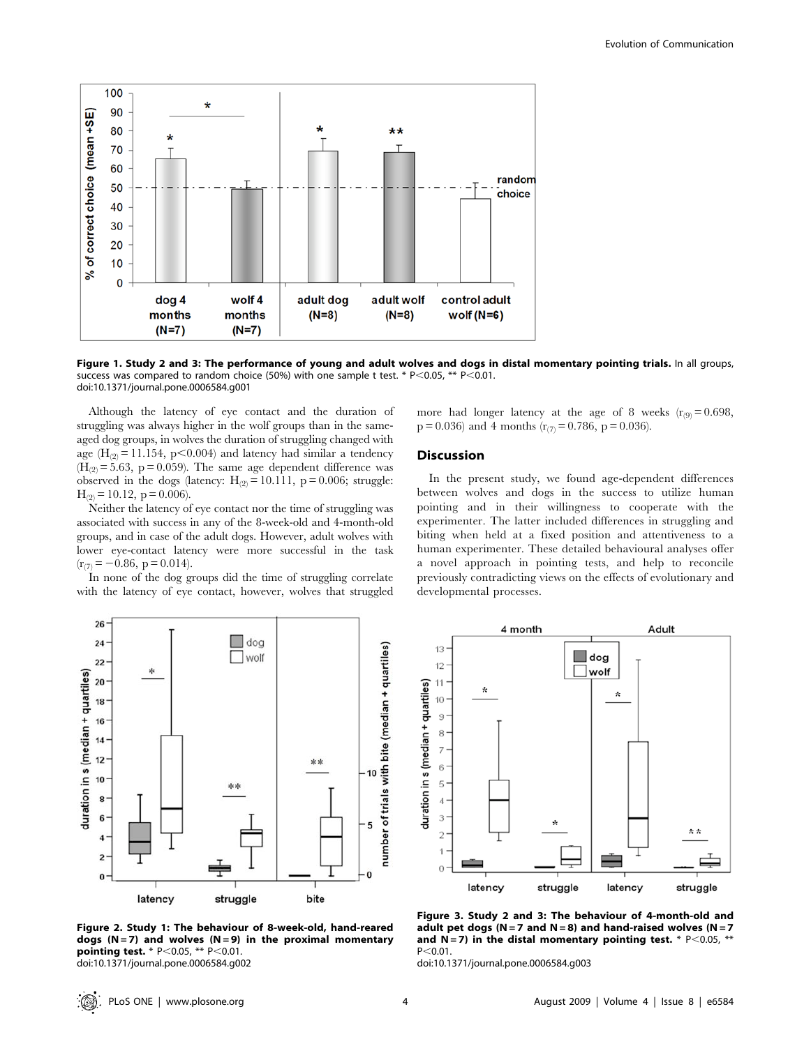

Figure 1. Study 2 and 3: The performance of young and adult wolves and dogs in distal momentary pointing trials. In all groups, success was compared to random choice (50%) with one sample t test. \*  $P<0.05$ , \*\*  $P<0.01$ . doi:10.1371/journal.pone.0006584.g001

Although the latency of eye contact and the duration of struggling was always higher in the wolf groups than in the sameaged dog groups, in wolves the duration of struggling changed with age ( $H_{(2)} = 11.154$ , p $< 0.004$ ) and latency had similar a tendency  $(H<sub>(2)</sub> = 5.63, p = 0.059)$ . The same age dependent difference was observed in the dogs (latency:  $H_{(2)} = 10.111$ , p = 0.006; struggle:  $H_{(2)} = 10.12$ , p = 0.006).

Neither the latency of eye contact nor the time of struggling was associated with success in any of the 8-week-old and 4-month-old groups, and in case of the adult dogs. However, adult wolves with lower eye-contact latency were more successful in the task  $(r_{(7)} = -0.86, p = 0.014).$ 

In none of the dog groups did the time of struggling correlate with the latency of eye contact, however, wolves that struggled



Figure 2. Study 1: The behaviour of 8-week-old, hand-reared dogs (N = 7) and wolves (N = 9) in the proximal momentary pointing test. \*  $P < 0.05$ , \*\*  $P < 0.01$ . doi:10.1371/journal.pone.0006584.g002

more had longer latency at the age of 8 weeks  $(r_{(9)}=0.698,$  $p = 0.036$ ) and 4 months ( $r_{(7)} = 0.786$ ,  $p = 0.036$ ).

## **Discussion**

In the present study, we found age-dependent differences between wolves and dogs in the success to utilize human pointing and in their willingness to cooperate with the experimenter. The latter included differences in struggling and biting when held at a fixed position and attentiveness to a human experimenter. These detailed behavioural analyses offer a novel approach in pointing tests, and help to reconcile previously contradicting views on the effects of evolutionary and developmental processes.



Figure 3. Study 2 and 3: The behaviour of 4-month-old and adult pet dogs ( $N = 7$  and  $N = 8$ ) and hand-raised wolves ( $N = 7$ and N = 7) in the distal momentary pointing test. \*  $P<0.05$ , \*\*  $P < 0.01$ .

doi:10.1371/journal.pone.0006584.g003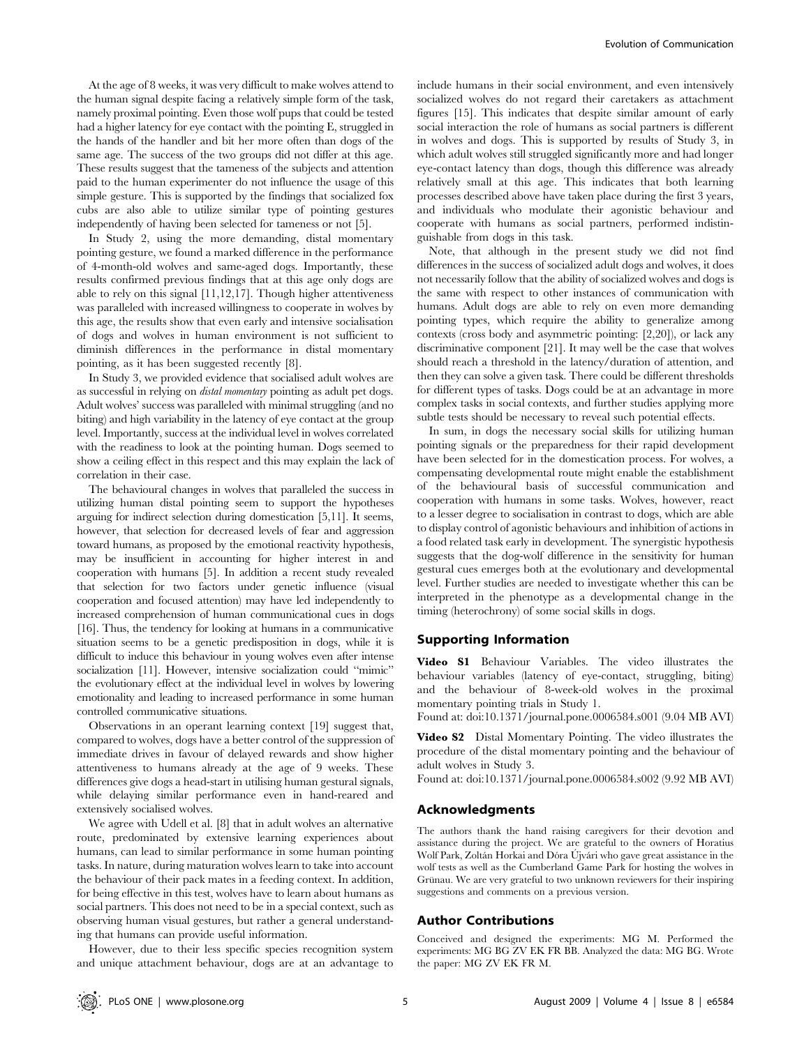At the age of 8 weeks, it was very difficult to make wolves attend to the human signal despite facing a relatively simple form of the task, namely proximal pointing. Even those wolf pups that could be tested had a higher latency for eye contact with the pointing E, struggled in the hands of the handler and bit her more often than dogs of the same age. The success of the two groups did not differ at this age. These results suggest that the tameness of the subjects and attention paid to the human experimenter do not influence the usage of this simple gesture. This is supported by the findings that socialized fox cubs are also able to utilize similar type of pointing gestures independently of having been selected for tameness or not [5].

In Study 2, using the more demanding, distal momentary pointing gesture, we found a marked difference in the performance of 4-month-old wolves and same-aged dogs. Importantly, these results confirmed previous findings that at this age only dogs are able to rely on this signal [11,12,17]. Though higher attentiveness was paralleled with increased willingness to cooperate in wolves by this age, the results show that even early and intensive socialisation of dogs and wolves in human environment is not sufficient to diminish differences in the performance in distal momentary pointing, as it has been suggested recently [8].

In Study 3, we provided evidence that socialised adult wolves are as successful in relying on distal momentary pointing as adult pet dogs. Adult wolves' success was paralleled with minimal struggling (and no biting) and high variability in the latency of eye contact at the group level. Importantly, success at the individual level in wolves correlated with the readiness to look at the pointing human. Dogs seemed to show a ceiling effect in this respect and this may explain the lack of correlation in their case.

The behavioural changes in wolves that paralleled the success in utilizing human distal pointing seem to support the hypotheses arguing for indirect selection during domestication [5,11]. It seems, however, that selection for decreased levels of fear and aggression toward humans, as proposed by the emotional reactivity hypothesis, may be insufficient in accounting for higher interest in and cooperation with humans [5]. In addition a recent study revealed that selection for two factors under genetic influence (visual cooperation and focused attention) may have led independently to increased comprehension of human communicational cues in dogs [16]. Thus, the tendency for looking at humans in a communicative situation seems to be a genetic predisposition in dogs, while it is difficult to induce this behaviour in young wolves even after intense socialization [11]. However, intensive socialization could ''mimic'' the evolutionary effect at the individual level in wolves by lowering emotionality and leading to increased performance in some human controlled communicative situations.

Observations in an operant learning context [19] suggest that, compared to wolves, dogs have a better control of the suppression of immediate drives in favour of delayed rewards and show higher attentiveness to humans already at the age of 9 weeks. These differences give dogs a head-start in utilising human gestural signals, while delaying similar performance even in hand-reared and extensively socialised wolves.

We agree with Udell et al. [8] that in adult wolves an alternative route, predominated by extensive learning experiences about humans, can lead to similar performance in some human pointing tasks. In nature, during maturation wolves learn to take into account the behaviour of their pack mates in a feeding context. In addition, for being effective in this test, wolves have to learn about humans as social partners. This does not need to be in a special context, such as observing human visual gestures, but rather a general understanding that humans can provide useful information.

However, due to their less specific species recognition system and unique attachment behaviour, dogs are at an advantage to

include humans in their social environment, and even intensively socialized wolves do not regard their caretakers as attachment figures [15]. This indicates that despite similar amount of early social interaction the role of humans as social partners is different in wolves and dogs. This is supported by results of Study 3, in which adult wolves still struggled significantly more and had longer eye-contact latency than dogs, though this difference was already relatively small at this age. This indicates that both learning processes described above have taken place during the first 3 years, and individuals who modulate their agonistic behaviour and cooperate with humans as social partners, performed indistinguishable from dogs in this task.

Note, that although in the present study we did not find differences in the success of socialized adult dogs and wolves, it does not necessarily follow that the ability of socialized wolves and dogs is the same with respect to other instances of communication with humans. Adult dogs are able to rely on even more demanding pointing types, which require the ability to generalize among contexts (cross body and asymmetric pointing: [2,20]), or lack any discriminative component [21]. It may well be the case that wolves should reach a threshold in the latency/duration of attention, and then they can solve a given task. There could be different thresholds for different types of tasks. Dogs could be at an advantage in more complex tasks in social contexts, and further studies applying more subtle tests should be necessary to reveal such potential effects.

In sum, in dogs the necessary social skills for utilizing human pointing signals or the preparedness for their rapid development have been selected for in the domestication process. For wolves, a compensating developmental route might enable the establishment of the behavioural basis of successful communication and cooperation with humans in some tasks. Wolves, however, react to a lesser degree to socialisation in contrast to dogs, which are able to display control of agonistic behaviours and inhibition of actions in a food related task early in development. The synergistic hypothesis suggests that the dog-wolf difference in the sensitivity for human gestural cues emerges both at the evolutionary and developmental level. Further studies are needed to investigate whether this can be interpreted in the phenotype as a developmental change in the timing (heterochrony) of some social skills in dogs.

#### Supporting Information

Video S1 Behaviour Variables. The video illustrates the behaviour variables (latency of eye-contact, struggling, biting) and the behaviour of 8-week-old wolves in the proximal momentary pointing trials in Study 1.

Found at: doi:10.1371/journal.pone.0006584.s001 (9.04 MB AVI)

Video S2 Distal Momentary Pointing. The video illustrates the procedure of the distal momentary pointing and the behaviour of adult wolves in Study 3.

Found at: doi:10.1371/journal.pone.0006584.s002 (9.92 MB AVI)

## Acknowledgments

The authors thank the hand raising caregivers for their devotion and assistance during the project. We are grateful to the owners of Horatius Wolf Park, Zoltán Horkai and Dóra Újvári who gave great assistance in the wolf tests as well as the Cumberland Game Park for hosting the wolves in Grünau. We are very grateful to two unknown reviewers for their inspiring suggestions and comments on a previous version.

## Author Contributions

Conceived and designed the experiments: MG M. Performed the experiments: MG BG ZV EK FR BB. Analyzed the data: MG BG. Wrote the paper: MG ZV EK FR M.